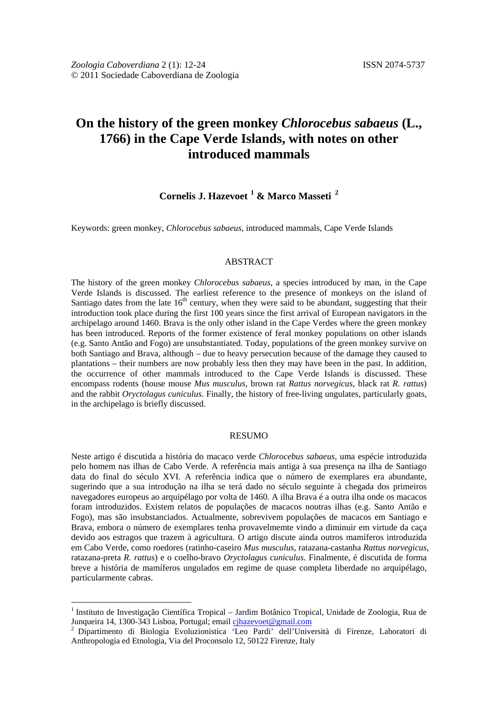# **On the history of the green monkey** *Chlorocebus sabaeus* **(L., 1766) in the Cape Verde Islands, with notes on other introduced mammals**

# **Cornelis J. Hazevoet [1](#page-0-0) & Marco Masseti [2](#page-0-1)**

Keywords: green monkey, *Chlorocebus sabaeus*, introduced mammals, Cape Verde Islands

#### ABSTRACT

The history of the green monkey *Chlorocebus sabaeus*, a species introduced by man, in the Cape Verde Islands is discussed. The earliest reference to the presence of monkeys on the island of Santiago dates from the late  $16<sup>th</sup>$  century, when they were said to be abundant, suggesting that their introduction took place during the first 100 years since the first arrival of European navigators in the archipelago around 1460. Brava is the only other island in the Cape Verdes where the green monkey has been introduced. Reports of the former existence of feral monkey populations on other islands (e.g. Santo Antão and Fogo) are unsubstantiated. Today, populations of the green monkey survive on both Santiago and Brava, although – due to heavy persecution because of the damage they caused to plantations – their numbers are now probably less then they may have been in the past. In addition, the occurrence of other mammals introduced to the Cape Verde Islands is discussed. These encompass rodents (house mouse *Mus musculus*, brown rat *Rattus norvegicus*, black rat *R. rattus*) and the rabbit *Oryctolagus cuniculus*. Finally, the history of free-living ungulates, particularly goats, in the archipelago is briefly discussed.

#### RESUMO

Neste artigo é discutida a história do macaco verde *Chlorocebus sabaeus*, uma espécie introduzida pelo homem nas ilhas de Cabo Verde. A referência mais antiga à sua presença na ilha de Santiago data do final do século XVI. A referência indica que o número de exemplares era abundante, sugerindo que a sua introdução na ilha se terá dado no século seguinte à chegada dos primeiros navegadores europeus ao arquipélago por volta de 1460. A ilha Brava é a outra ilha onde os macacos foram introduzidos. Existem relatos de populações de macacos noutras ilhas (e.g. Santo Antão e Fogo), mas são insubstanciados. Actualmente, sobrevivem populações de macacos em Santiago e Brava, embora o número de exemplares tenha provavelmemte vindo a diminuir em virtude da caça devido aos estragos que trazem à agricultura. O artigo discute ainda outros mamíferos introduzida em Cabo Verde, como roedores (ratinho-caseiro *Mus musculus*, ratazana-castanha *Rattus norvegicus*, ratazana-preta *R. rattus*) e o coelho-bravo *Oryctolagus cuniculus*. Finalmente, é discutida de forma breve a história de mamíferos ungulados em regime de quase completa liberdade no arquipélago, particularmente cabras.

<span id="page-0-0"></span><sup>&</sup>lt;sup>1</sup> Instituto de Investigação Científica Tropical – Jardim Botânico Tropical, Unidade de Zoologia, Rua de Junqueira 14, 1300-343 Lisboa, Portugal; email cinazevoet@gmail.com

<span id="page-0-1"></span>Dipartimento di Biologia Evoluzionistica 'Leo Pardi' dell'Università di Firenze, Laboratori di Anthropologia ed Etnologia, Via del Proconsolo 12, 50122 Firenze, Italy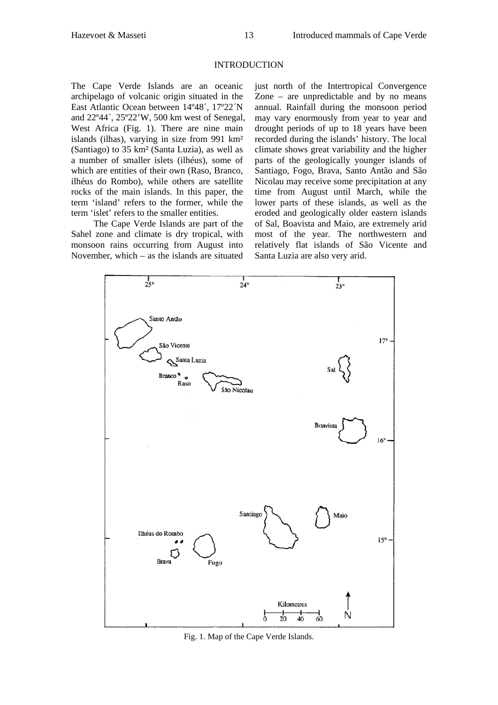#### INTRODUCTION

The Cape Verde Islands are an oceanic archipelago of volcanic origin situated in the East Atlantic Ocean between 14º48´, 17º22´N and 22º44´, 25º22'W, 500 km west of Senegal, West Africa (Fig. 1). There are nine main islands (ilhas), varying in size from 991 km² (Santiago) to 35 km² (Santa Luzia), as well as a number of smaller islets (ilhéus), some of which are entities of their own (Raso, Branco, ilhéus do Rombo), while others are satellite rocks of the main islands. In this paper, the term 'island' refers to the former, while the term 'islet' refers to the smaller entities.

The Cape Verde Islands are part of the Sahel zone and climate is dry tropical, with monsoon rains occurring from August into November, which – as the islands are situated just north of the Intertropical Convergence Zone – are unpredictable and by no means annual. Rainfall during the monsoon period may vary enormously from year to year and drought periods of up to 18 years have been recorded during the islands' history. The local climate shows great variability and the higher parts of the geologically younger islands of Santiago, Fogo, Brava, Santo Antão and São Nicolau may receive some precipitation at any time from August until March, while the lower parts of these islands, as well as the eroded and geologically older eastern islands of Sal, Boavista and Maio, are extremely arid most of the year. The northwestern and relatively flat islands of São Vicente and Santa Luzia are also very arid.



Fig. 1. Map of the Cape Verde Islands.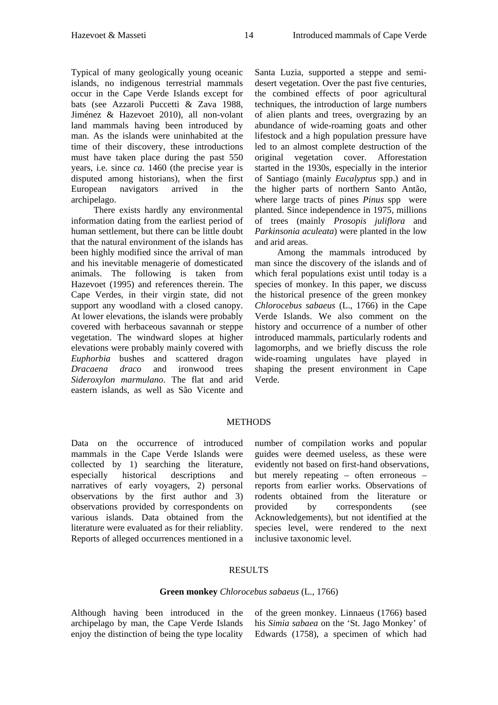Typical of many geologically young oceanic islands, no indigenous terrestrial mammals occur in the Cape Verde Islands except for bats (see Azzaroli Puccetti & Zava 1988, Jiménez & Hazevoet 2010), all non-volant land mammals having been introduced by man. As the islands were uninhabited at the time of their discovery, these introductions must have taken place during the past 550 years, i.e. since *ca*. 1460 (the precise year is disputed among historians), when the first European navigators arrived in the archipelago.

There exists hardly any environmental information dating from the earliest period of human settlement, but there can be little doubt that the natural environment of the islands has been highly modified since the arrival of man and his inevitable menagerie of domesticated animals. The following is taken from Hazevoet (1995) and references therein. The Cape Verdes, in their virgin state, did not support any woodland with a closed canopy. At lower elevations, the islands were probably covered with herbaceous savannah or steppe vegetation. The windward slopes at higher elevations were probably mainly covered with *Euphorbia* bushes and scattered dragon *Dracaena draco* and ironwood trees *Sideroxylon marmulano*. The flat and arid eastern islands, as well as São Vicente and

Santa Luzia, supported a steppe and semidesert vegetation. Over the past five centuries, the combined effects of poor agricultural techniques, the introduction of large numbers of alien plants and trees, overgrazing by an abundance of wide-roaming goats and other lifestock and a high population pressure have led to an almost complete destruction of the original vegetation cover. Afforestation started in the 1930s, especially in the interior of Santiago (mainly *Eucalyptus* spp.) and in the higher parts of northern Santo Antão, where large tracts of pines *Pinus* spp were planted. Since independence in 1975, millions of trees (mainly *Prosopis juliflora* and *Parkinsonia aculeata*) were planted in the low and arid areas.

Among the mammals introduced by man since the discovery of the islands and of which feral populations exist until today is a species of monkey. In this paper, we discuss the historical presence of the green monkey *Chlorocebus sabaeus* (L., 1766) in the Cape Verde Islands. We also comment on the history and occurrence of a number of other introduced mammals, particularly rodents and lagomorphs, and we briefly discuss the role wide-roaming ungulates have played in shaping the present environment in Cape Verde.

# **METHODS**

Data on the occurrence of introduced mammals in the Cape Verde Islands were collected by 1) searching the literature, especially historical descriptions and narratives of early voyagers, 2) personal observations by the first author and 3) observations provided by correspondents on various islands. Data obtained from the literature were evaluated as for their reliablity. Reports of alleged occurrences mentioned in a

number of compilation works and popular guides were deemed useless, as these were evidently not based on first-hand observations, but merely repeating – often erroneous – reports from earlier works. Observations of rodents obtained from the literature or provided by correspondents (see Acknowledgements), but not identified at the species level, were rendered to the next inclusive taxonomic level.

## RESULTS

#### **Green monkey** *Chlorocebus sabaeus* (L., 1766)

Although having been introduced in the archipelago by man, the Cape Verde Islands enjoy the distinction of being the type locality of the green monkey. Linnaeus (1766) based his *Simia sabaea* on the 'St. Jago Monkey' of Edwards (1758), a specimen of which had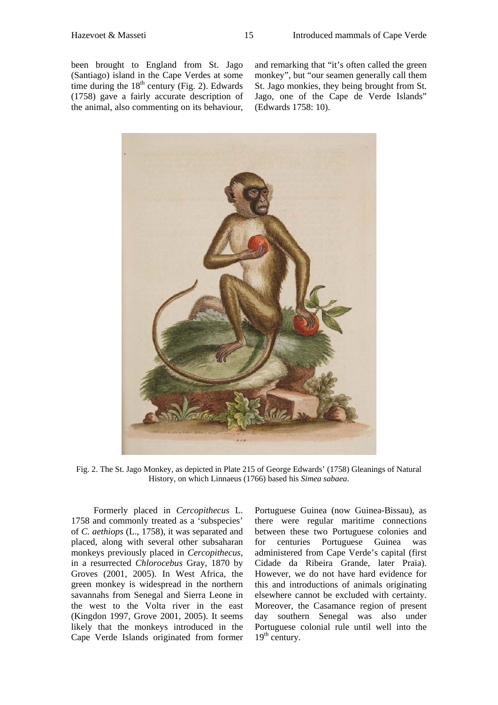been brought to England from St. Jago (Santiago) island in the Cape Verdes at some time during the  $18<sup>th</sup>$  century (Fig. 2). Edwards (1758) gave a fairly accurate description of the animal, also commenting on its behaviour,

and remarking that "it's often called the green monkey", but "our seamen generally call them St. Jago monkies, they being brought from St. Jago, one of the Cape de Verde Islands" (Edwards 1758: 10).



Fig. 2. The St. Jago Monkey, as depicted in Plate 215 of George Edwards' (1758) Gleanings of Natural History, on which Linnaeus (1766) based his *Simea sabaea*.

Formerly placed in *Cercopithecus* L. 1758 and commonly treated as a 'subspecies' of *C. aethiops* (L., 1758), it was separated and placed, along with several other subsaharan monkeys previously placed in *Cercopithecus*, in a resurrected *Chlorocebus* Gray, 1870 by Groves (2001, 2005). In West Africa, the green monkey is widespread in the northern savannahs from Senegal and Sierra Leone in the west to the Volta river in the east (Kingdon 1997, Grove 2001, 2005). It seems likely that the monkeys introduced in the Cape Verde Islands originated from former

Portuguese Guinea (now Guinea-Bissau), as there were regular maritime connections between these two Portuguese colonies and for centuries Portuguese Guinea was administered from Cape Verde's capital (first Cidade da Ribeira Grande, later Praia). However, we do not have hard evidence for this and introductions of animals originating elsewhere cannot be excluded with certainty. Moreover, the Casamance region of present day southern Senegal was also under Portuguese colonial rule until well into the  $19<sup>th</sup>$  century.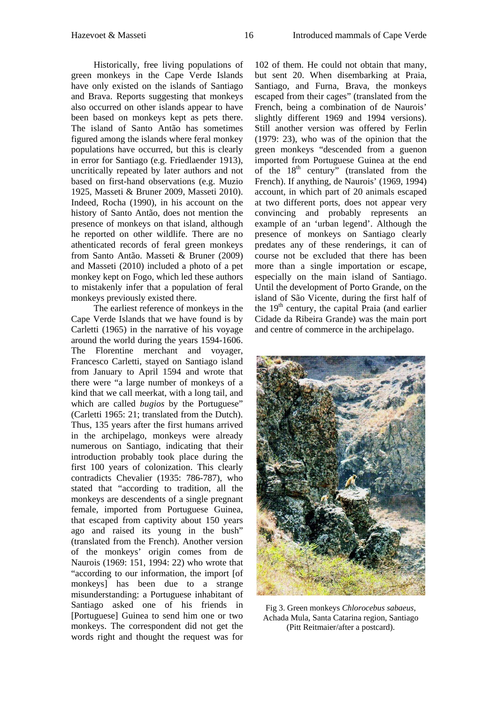Historically, free living populations of green monkeys in the Cape Verde Islands have only existed on the islands of Santiago and Brava. Reports suggesting that monkeys also occurred on other islands appear to have been based on monkeys kept as pets there. The island of Santo Antão has sometimes figured among the islands where feral monkey populations have occurred, but this is clearly in error for Santiago (e.g. Friedlaender 1913), uncritically repeated by later authors and not based on first-hand observations (e.g. Muzio 1925, Masseti & Bruner 2009, Masseti 2010). Indeed, Rocha (1990), in his account on the history of Santo Antão, does not mention the presence of monkeys on that island, although he reported on other wildlife. There are no athenticated records of feral green monkeys from Santo Antão. Masseti & Bruner (2009) and Masseti (2010) included a photo of a pet monkey kept on Fogo, which led these authors to mistakenly infer that a population of feral monkeys previously existed there.

The earliest reference of monkeys in the Cape Verde Islands that we have found is by Carletti (1965) in the narrative of his voyage around the world during the years 1594-1606. The Florentine merchant and voyager, Francesco Carletti, stayed on Santiago island from January to April 1594 and wrote that there were "a large number of monkeys of a kind that we call meerkat, with a long tail, and which are called *bugios* by the Portuguese" (Carletti 1965: 21; translated from the Dutch). Thus, 135 years after the first humans arrived in the archipelago, monkeys were already numerous on Santiago, indicating that their introduction probably took place during the first 100 years of colonization. This clearly contradicts Chevalier (1935: 786-787), who stated that "according to tradition, all the monkeys are descendents of a single pregnant female, imported from Portuguese Guinea, that escaped from captivity about 150 years ago and raised its young in the bush" (translated from the French). Another version of the monkeys' origin comes from de Naurois (1969: 151, 1994: 22) who wrote that "according to our information, the import [of monkeys] has been due to a strange misunderstanding: a Portuguese inhabitant of Santiago asked one of his friends in [Portuguese] Guinea to send him one or two monkeys. The correspondent did not get the words right and thought the request was for

102 of them. He could not obtain that many, but sent 20. When disembarking at Praia, Santiago, and Furna, Brava, the monkeys escaped from their cages" (translated from the French, being a combination of de Naurois' slightly different 1969 and 1994 versions). Still another version was offered by Ferlin (1979: 23), who was of the opinion that the green monkeys "descended from a guenon imported from Portuguese Guinea at the end of the  $18<sup>th</sup>$  century" (translated from the French). If anything, de Naurois' (1969, 1994) account, in which part of 20 animals escaped at two different ports, does not appear very convincing and probably represents an example of an 'urban legend'. Although the presence of monkeys on Santiago clearly predates any of these renderings, it can of course not be excluded that there has been more than a single importation or escape, especially on the main island of Santiago. Until the development of Porto Grande, on the island of São Vicente, during the first half of the  $19<sup>th</sup>$  century, the capital Praia (and earlier Cidade da Ribeira Grande) was the main port and centre of commerce in the archipelago.



Fig 3. Green monkeys *Chlorocebus sabaeus*, Achada Mula, Santa Catarina region, Santiago (Pitt Reitmaier/after a postcard).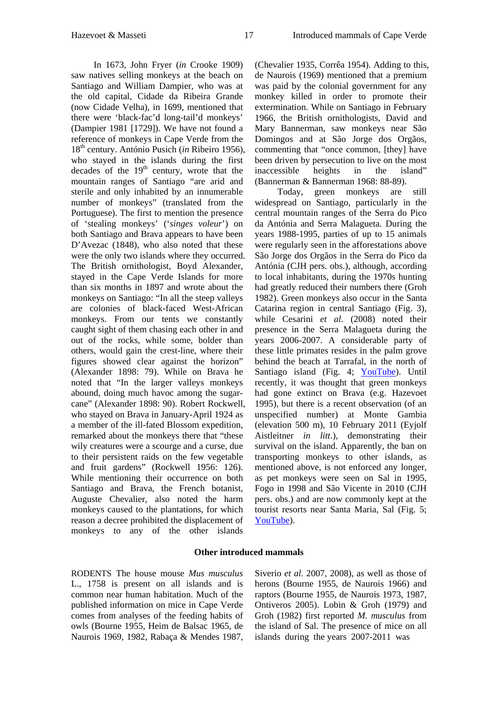In 1673, John Fryer (*in* Crooke 1909) saw natives selling monkeys at the beach on Santiago and William Dampier, who was at the old capital, Cidade da Ribeira Grande (now Cidade Velha), in 1699, mentioned that there were 'black-fac'd long-tail'd monkeys' (Dampier 1981 [1729]). We have not found a reference of monkeys in Cape Verde from the 18th century. António Pusich (*in* Ribeiro 1956), who stayed in the islands during the first decades of the  $19<sup>th</sup>$  century, wrote that the mountain ranges of Santiago "are arid and sterile and only inhabited by an innumerable number of monkeys" (translated from the Portuguese). The first to mention the presence of 'stealing monkeys' ('*singes voleur*') on both Santiago and Brava appears to have been D'Avezac (1848), who also noted that these were the only two islands where they occurred. The British ornithologist, Boyd Alexander, stayed in the Cape Verde Islands for more than six months in 1897 and wrote about the monkeys on Santiago: "In all the steep valleys are colonies of black-faced West-African monkeys. From our tents we constantly caught sight of them chasing each other in and out of the rocks, while some, bolder than others, would gain the crest-line, where their figures showed clear against the horizon" (Alexander 1898: 79). While on Brava he noted that "In the larger valleys monkeys abound, doing much havoc among the sugarcane" (Alexander 1898: 90). Robert Rockwell, who stayed on Brava in January-April 1924 as a member of the ill-fated Blossom expedition, remarked about the monkeys there that "these wily creatures were a scourge and a curse, due to their persistent raids on the few vegetable and fruit gardens" (Rockwell 1956: 126). While mentioning their occurrence on both Santiago and Brava, the French botanist, Auguste Chevalier, also noted the harm monkeys caused to the plantations, for which reason a decree prohibited the displacement of monkeys to any of the other islands

(Chevalier 1935, Corrêa 1954). Adding to this, de Naurois (1969) mentioned that a premium was paid by the colonial government for any monkey killed in order to promote their extermination. While on Santiago in February 1966, the British ornithologists, David and Mary Bannerman, saw monkeys near São Domingos and at São Jorge dos Orgãos, commenting that "once common, [they] have been driven by persecution to live on the most inaccessible heights in the island" (Bannerman & Bannerman 1968: 88-89).

Today, green monkeys are still widespread on Santiago, particularly in the central mountain ranges of the Serra do Pico da Antónia and Serra Malagueta. During the years 1988-1995, parties of up to 15 animals were regularly seen in the afforestations above São Jorge dos Orgãos in the Serra do Pico da Antónia (CJH pers. obs.), although, according to local inhabitants, during the 1970s hunting had greatly reduced their numbers there (Groh 1982). Green monkeys also occur in the Santa Catarina region in central Santiago (Fig. 3), while Cesarini *et al.* (2008) noted their presence in the Serra Malagueta during the years 2006-2007. A considerable party of these little primates resides in the palm grove behind the beach at Tarrafal, in the north of Santiago island (Fig. 4; [YouTube\)](http://www.youtube.com/watch?v=jUS8sKDB96I&NR=1). Until recently, it was thought that green monkeys had gone extinct on Brava (e.g. Hazevoet 1995), but there is a recent observation (of an unspecified number) at Monte Gambia (elevation 500 m), 10 February 2011 (Eyjolf Aistleitner *in litt*.), demonstrating their survival on the island. Apparently, the ban on transporting monkeys to other islands, as mentioned above, is not enforced any longer, as pet monkeys were seen on Sal in 1995, Fogo in 1998 and São Vicente in 2010 (CJH pers. obs.) and are now commonly kept at the tourist resorts near Santa Maria, Sal (Fig. 5; [YouTube\)](http://www.youtube.com/watch?v=Bnzt8XbCnyM).

## **Other introduced mammals**

RODENTS The house mouse *Mus musculus*  L., 1758 is present on all islands and is common near human habitation. Much of the published information on mice in Cape Verde comes from analyses of the feeding habits of owls (Bourne 1955, Heim de Balsac 1965, de Naurois 1969, 1982, Rabaça & Mendes 1987, Siverio *et al.* 2007, 2008), as well as those of herons (Bourne 1955, de Naurois 1966) and raptors (Bourne 1955, de Naurois 1973, 1987, Ontiveros 2005). Lobin & Groh (1979) and Groh (1982) first reported *M. musculus* from the island of Sal. The presence of mice on all islands during the years 2007-2011 was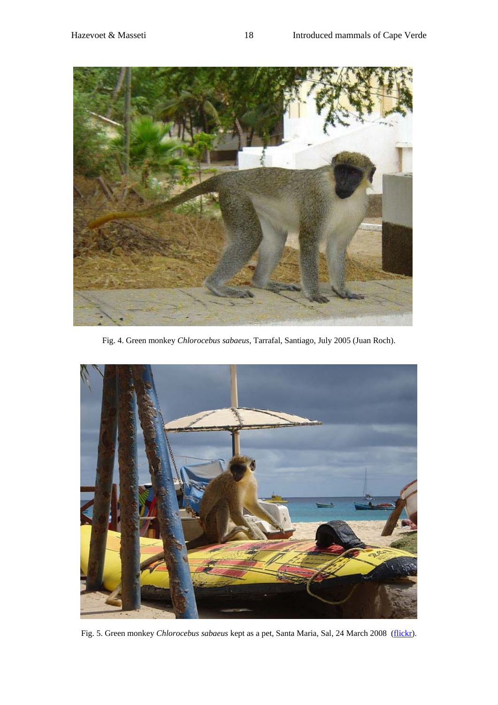

Fig. 4. Green monkey *Chlorocebus sabaeus*, Tarrafal, Santiago, July 2005 (Juan Roch).



Fig. 5. Green monkey *Chlorocebus sabaeus* kept as a pet, Santa Maria, Sal, 24 March 2008 [\(flickr\)](http://www.flickr.com/photos/racingtiger/2415645727/).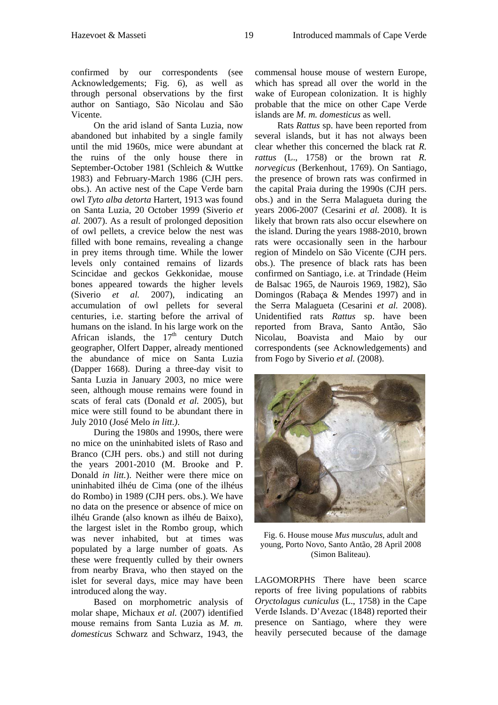confirmed by our correspondents (see Acknowledgements; Fig. 6), as well as through personal observations by the first author on Santiago, São Nicolau and São Vicente.

On the arid island of Santa Luzia, now abandoned but inhabited by a single family until the mid 1960s, mice were abundant at the ruins of the only house there in September-October 1981 (Schleich & Wuttke 1983) and February-March 1986 (CJH pers. obs.). An active nest of the Cape Verde barn owl *Tyto alba detorta* Hartert, 1913 was found on Santa Luzia, 20 October 1999 (Siverio *et al.* 2007). As a result of prolonged deposition of owl pellets, a crevice below the nest was filled with bone remains, revealing a change in prey items through time. While the lower levels only contained remains of lizards Scincidae and geckos Gekkonidae, mouse bones appeared towards the higher levels (Siverio *et al.* 2007), indicating an accumulation of owl pellets for several centuries, i.e. starting before the arrival of humans on the island. In his large work on the African islands, the  $17<sup>th</sup>$  century Dutch geographer, Olfert Dapper, already mentioned the abundance of mice on Santa Luzia (Dapper 1668). During a three-day visit to Santa Luzia in January 2003, no mice were seen, although mouse remains were found in scats of feral cats (Donald *et al.* 2005), but mice were still found to be abundant there in July 2010 (José Melo *in litt*.*)*.

During the 1980s and 1990s, there were no mice on the uninhabited islets of Raso and Branco (CJH pers. obs.) and still not during the years 2001-2010 (M. Brooke and P. Donald *in litt.*). Neither were there mice on uninhabited ilhéu de Cima (one of the ilhéus do Rombo) in 1989 (CJH pers. obs.). We have no data on the presence or absence of mice on ilhéu Grande (also known as ilhéu de Baixo), the largest islet in the Rombo group, which was never inhabited, but at times was populated by a large number of goats. As these were frequently culled by their owners from nearby Brava, who then stayed on the islet for several days, mice may have been introduced along the way.

Based on morphometric analysis of molar shape, Michaux *et al.* (2007) identified mouse remains from Santa Luzia as *M. m. domesticus* Schwarz and Schwarz, 1943, the

commensal house mouse of western Europe, which has spread all over the world in the wake of European colonization. It is highly probable that the mice on other Cape Verde islands are *M. m. domesticus* as well.

Rats *Rattus* sp. have been reported from several islands, but it has not always been clear whether this concerned the black rat *R. rattus* (L., 1758) or the brown rat *R. norvegicus* (Berkenhout, 1769). On Santiago, the presence of brown rats was confirmed in the capital Praia during the 1990s (CJH pers. obs.) and in the Serra Malagueta during the years 2006-2007 (Cesarini *et al.* 2008). It is likely that brown rats also occur elsewhere on the island. During the years 1988-2010, brown rats were occasionally seen in the harbour region of Mindelo on São Vicente (CJH pers. obs.). The presence of black rats has been confirmed on Santiago, i.e. at Trindade (Heim de Balsac 1965, de Naurois 1969, 1982), São Domingos (Rabaça & Mendes 1997) and in the Serra Malagueta (Cesarini *et al.* 2008). Unidentified rats *Rattus* sp. have been reported from Brava, Santo Antão, São Nicolau, Boavista and Maio by our correspondents (see Acknowledgements) and from Fogo by Siverio *et al.* (2008).



Fig. 6. House mouse *Mus musculus*, adult and young, Porto Novo, Santo Antão, 28 April 2008 (Simon Baliteau).

LAGOMORPHS There have been scarce reports of free living populations of rabbits *Oryctolagus cuniculus* (L., 1758) in the Cape Verde Islands. D'Avezac (1848) reported their presence on Santiago, where they were heavily persecuted because of the damage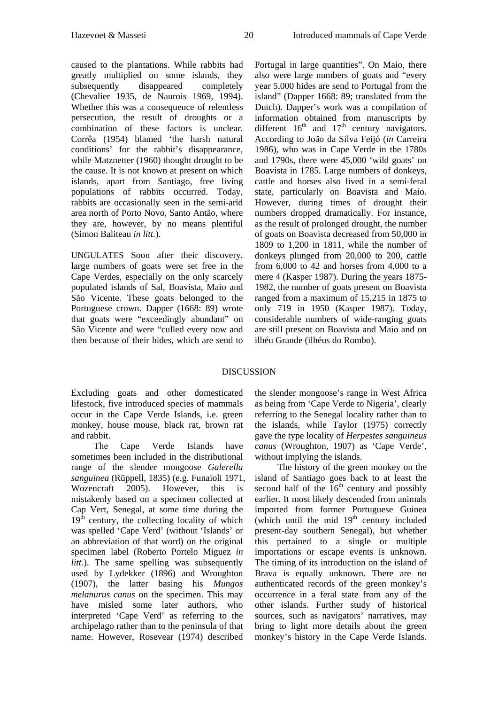caused to the plantations. While rabbits had greatly multiplied on some islands, they subsequently disappeared completely (Chevalier 1935, de Naurois 1969, 1994). Whether this was a consequence of relentless persecution, the result of droughts or a combination of these factors is unclear. Corrêa (1954) blamed 'the harsh natural conditions' for the rabbit's disappearance, while Matznetter (1960) thought drought to be the cause. It is not known at present on which islands, apart from Santiago, free living populations of rabbits occurred. Today, rabbits are occasionally seen in the semi-arid area north of Porto Novo, Santo Antão, where they are, however, by no means plentiful (Simon Baliteau *in litt.*).

UNGULATES Soon after their discovery, large numbers of goats were set free in the Cape Verdes, especially on the only scarcely populated islands of Sal, Boavista, Maio and São Vicente. These goats belonged to the Portuguese crown. Dapper (1668: 89) wrote that goats were "exceedingly abundant" on São Vicente and were "culled every now and then because of their hides, which are send to

Portugal in large quantities". On Maio, there also were large numbers of goats and "every year 5,000 hides are send to Portugal from the island" (Dapper 1668: 89; translated from the Dutch). Dapper's work was a compilation of information obtained from manuscripts by different  $16<sup>th</sup>$  and  $17<sup>th</sup>$  century navigators. According to João da Silva Feijó (*in* Carreira 1986), who was in Cape Verde in the 1780s and 1790s, there were 45,000 'wild goats' on Boavista in 1785. Large numbers of donkeys, cattle and horses also lived in a semi-feral state, particularly on Boavista and Maio. However, during times of drought their numbers dropped dramatically. For instance, as the result of prolonged drought, the number of goats on Boavista decreased from 50,000 in 1809 to 1,200 in 1811, while the number of donkeys plunged from 20,000 to 200, cattle from 6,000 to 42 and horses from 4,000 to a mere 4 (Kasper 1987). During the years 1875- 1982, the number of goats present on Boavista ranged from a maximum of 15,215 in 1875 to only 719 in 1950 (Kasper 1987). Today, considerable numbers of wide-ranging goats are still present on Boavista and Maio and on ilhéu Grande (ilhéus do Rombo).

# DISCUSSION

Excluding goats and other domesticated lifestock, five introduced species of mammals occur in the Cape Verde Islands, i.e. green monkey, house mouse, black rat, brown rat and rabbit.

The Cape Verde Islands have sometimes been included in the distributional range of the slender mongoose *Galerella sanguinea* (Rüppell, 1835) (e.g. Funaioli 1971, Wozencraft 2005). However, this is mistakenly based on a specimen collected at Cap Vert, Senegal, at some time during the  $19<sup>th</sup>$  century, the collecting locality of which was spelled 'Cape Verd' (without 'Islands' or an abbreviation of that word) on the original specimen label (Roberto Portelo Miguez *in litt.*). The same spelling was subsequently used by Lydekker (1896) and Wroughton (1907), the latter basing his *Mungos melanurus canus* on the specimen. This may have misled some later authors, who interpreted 'Cape Verd' as referring to the archipelago rather than to the peninsula of that name. However, Rosevear (1974) described

the slender mongoose's range in West Africa as being from 'Cape Verde to Nigeria', clearly referring to the Senegal locality rather than to the islands, while Taylor (1975) correctly gave the type locality of *Herpestes sanguineus canus* (Wroughton, 1907) as 'Cape Verde', without implying the islands.

The history of the green monkey on the island of Santiago goes back to at least the second half of the  $16<sup>th</sup>$  century and possibly earlier. It most likely descended from animals imported from former Portuguese Guinea (which until the mid  $19<sup>th</sup>$  century included present-day southern Senegal), but whether this pertained to a single or multiple importations or escape events is unknown. The timing of its introduction on the island of Brava is equally unknown. There are no authenticated records of the green monkey's occurrence in a feral state from any of the other islands. Further study of historical sources, such as navigators' narratives, may bring to light more details about the green monkey's history in the Cape Verde Islands.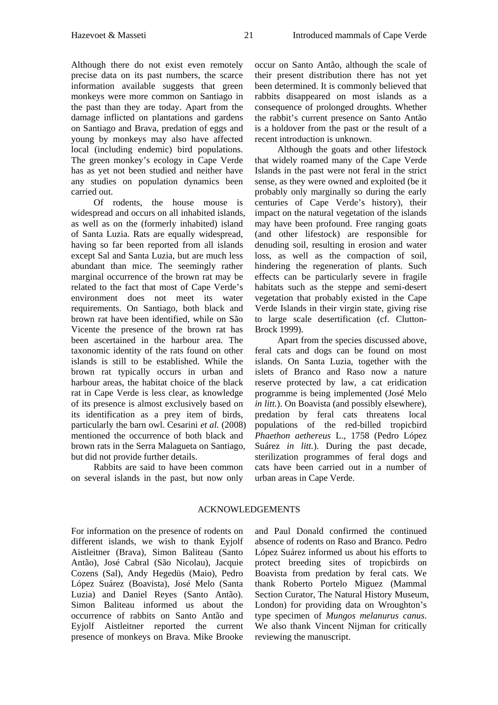Although there do not exist even remotely precise data on its past numbers, the scarce information available suggests that green monkeys were more common on Santiago in the past than they are today. Apart from the damage inflicted on plantations and gardens on Santiago and Brava, predation of eggs and young by monkeys may also have affected local (including endemic) bird populations. The green monkey's ecology in Cape Verde has as yet not been studied and neither have any studies on population dynamics been carried out.

Of rodents, the house mouse is widespread and occurs on all inhabited islands, as well as on the (formerly inhabited) island of Santa Luzia. Rats are equally widespread, having so far been reported from all islands except Sal and Santa Luzia, but are much less abundant than mice. The seemingly rather marginal occurrence of the brown rat may be related to the fact that most of Cape Verde's environment does not meet its water requirements. On Santiago, both black and brown rat have been identified, while on São Vicente the presence of the brown rat has been ascertained in the harbour area. The taxonomic identity of the rats found on other islands is still to be established. While the brown rat typically occurs in urban and harbour areas, the habitat choice of the black rat in Cape Verde is less clear, as knowledge of its presence is almost exclusively based on its identification as a prey item of birds, particularly the barn owl. Cesarini *et al.* (2008) mentioned the occurrence of both black and brown rats in the Serra Malagueta on Santiago, but did not provide further details.

Rabbits are said to have been common on several islands in the past, but now only

occur on Santo Antão, although the scale of their present distribution there has not yet been determined. It is commonly believed that rabbits disappeared on most islands as a consequence of prolonged droughts. Whether the rabbit's current presence on Santo Antão is a holdover from the past or the result of a recent introduction is unknown.

Although the goats and other lifestock that widely roamed many of the Cape Verde Islands in the past were not feral in the strict sense, as they were owned and exploited (be it probably only marginally so during the early centuries of Cape Verde's history), their impact on the natural vegetation of the islands may have been profound. Free ranging goats (and other lifestock) are responsible for denuding soil, resulting in erosion and water loss, as well as the compaction of soil, hindering the regeneration of plants. Such effects can be particularly severe in fragile habitats such as the steppe and semi-desert vegetation that probably existed in the Cape Verde Islands in their virgin state, giving rise to large scale desertification (cf. Clutton-Brock 1999).

Apart from the species discussed above, feral cats and dogs can be found on most islands. On Santa Luzia, together with the islets of Branco and Raso now a nature reserve protected by law, a cat eridication programme is being implemented (José Melo *in litt.*). On Boavista (and possibly elsewhere), predation by feral cats threatens local populations of the red-billed tropicbird *Phaethon aethereus* L., 1758 (Pedro López Suárez *in litt.*). During the past decade, sterilization programmes of feral dogs and cats have been carried out in a number of urban areas in Cape Verde.

## ACKNOWLEDGEMENTS

For information on the presence of rodents on different islands, we wish to thank Eyjolf Aistleitner (Brava), Simon Baliteau (Santo Antão), José Cabral (São Nicolau), Jacquie Cozens (Sal), Andy Hegedüs (Maio), Pedro López Suárez (Boavista), José Melo (Santa Luzia) and Daniel Reyes (Santo Antão). Simon Baliteau informed us about the occurrence of rabbits on Santo Antão and Eyjolf Aistleitner reported the current presence of monkeys on Brava. Mike Brooke

and Paul Donald confirmed the continued absence of rodents on Raso and Branco. Pedro López Suárez informed us about his efforts to protect breeding sites of tropicbirds on Boavista from predation by feral cats. We thank Roberto Portelo Miguez (Mammal Section Curator, The Natural History Museum, London) for providing data on Wroughton's type specimen of *Mungos melanurus canus*. We also thank Vincent Nijman for critically reviewing the manuscript.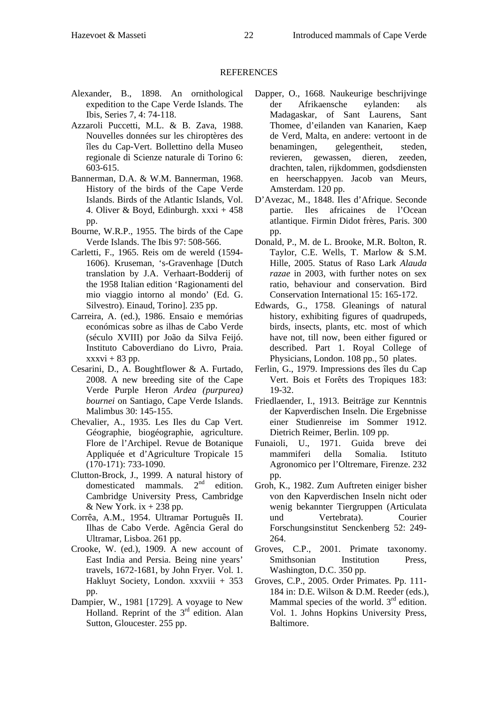- Alexander, B., 1898. An ornithological expedition to the Cape Verde Islands. The Ibis, Series 7, 4: 74-118.
- Azzaroli Puccetti, M.L. & B. Zava, 1988. Nouvelles données sur les chiroptères des îles du Cap-Vert. Bollettino della Museo regionale di Scienze naturale di Torino 6: 603-615.
- Bannerman, D.A. & W.M. Bannerman, 1968. History of the birds of the Cape Verde Islands. Birds of the Atlantic Islands, Vol. 4. Oliver & Boyd, Edinburgh.  $xxxi + 458$ pp.
- Bourne, W.R.P., 1955. The birds of the Cape Verde Islands. The Ibis 97: 508-566.
- Carletti, F., 1965. Reis om de wereld (1594- 1606). Kruseman, 's-Gravenhage [Dutch translation by J.A. Verhaart-Bodderij of the 1958 Italian edition 'Ragionamenti del mio viaggio intorno al mondo' (Ed. G. Silvestro). Einaud, Torino]. 235 pp.
- Carreira, A. (ed.), 1986. Ensaio e memórias económicas sobre as ilhas de Cabo Verde (século XVIII) por João da Silva Feijó. Instituto Caboverdiano do Livro, Praia.  $xxxvi + 83 pp.$
- Cesarini, D., A. Boughtflower & A. Furtado, 2008. A new breeding site of the Cape Verde Purple Heron *Ardea (purpurea) bournei* on Santiago, Cape Verde Islands. Malimbus 30: 145-155.
- Chevalier, A., 1935. Les Iles du Cap Vert. Géographie, biogéographie, agriculture. Flore de l'Archipel. Revue de Botanique Appliquée et d'Agriculture Tropicale 15 (170-171): 733-1090.
- Clutton-Brock, J., 1999. A natural history of domesticated mammals.  $2<sup>nd</sup>$  edition. Cambridge University Press, Cambridge & New York.  $ix + 238$  pp.
- Corrêa, A.M., 1954. Ultramar Português II. Ilhas de Cabo Verde. Agência Geral do Ultramar, Lisboa. 261 pp.
- Crooke, W. (ed.), 1909. A new account of East India and Persia. Being nine years' travels, 1672-1681, by John Fryer. Vol. 1. Hakluyt Society, London. xxxviii + 353 pp.
- Dampier, W., 1981 [1729]. A voyage to New Holland. Reprint of the  $3<sup>rd</sup>$  edition. Alan Sutton, Gloucester. 255 pp.
- Dapper, O., 1668. Naukeurige beschrijvinge der Afrikaensche eylanden: als Madagaskar, of Sant Laurens, Sant Thomee, d'eilanden van Kanarien, Kaep de Verd, Malta, en andere: vertoont in de benamingen, gelegentheit, steden, revieren, gewassen, dieren, zeeden, drachten, talen, rijkdommen, godsdiensten en heerschappyen. Jacob van Meurs, Amsterdam. 120 pp.
- D'Avezac, M., 1848. Iles d'Afrique. Seconde partie. Iles africaines de l'Ocean atlantique. Firmin Didot frères, Paris. 300 pp.
- Donald, P., M. de L. Brooke, M.R. Bolton, R. Taylor, C.E. Wells, T. Marlow & S.M. Hille, 2005. Status of Raso Lark *Alauda razae* in 2003, with further notes on sex ratio, behaviour and conservation. Bird Conservation International 15: 165-172.
- Edwards, G., 1758. Gleanings of natural history, exhibiting figures of quadrupeds, birds, insects, plants, etc. most of which have not, till now, been either figured or described. Part 1. Royal College of Physicians, London. 108 pp., 50 plates.
- Ferlin, G., 1979. Impressions des îles du Cap Vert. Bois et Forêts des Tropiques 183: 19-32.
- Friedlaender, I., 1913. Beiträge zur Kenntnis der Kapverdischen Inseln. Die Ergebnisse einer Studienreise im Sommer 1912. Dietrich Reimer, Berlin. 109 pp.
- Funaioli, U., 1971. Guida breve dei mammiferi della Somalia. Istituto Agronomico per l'Oltremare, Firenze. 232 pp.
- Groh, K., 1982. Zum Auftreten einiger bisher von den Kapverdischen Inseln nicht oder wenig bekannter Tiergruppen (Articulata und Vertebrata). Courier Forschungsinstitut Senckenberg 52: 249- 264.
- Groves, C.P., 2001. Primate taxonomy. Smithsonian Institution Press, Washington, D.C. 350 pp.
- Groves, C.P., 2005. Order Primates. Pp. 111- 184 in: D.E. Wilson & D.M. Reeder (eds.), Mammal species of the world.  $3<sup>rd</sup>$  edition. Vol. 1. Johns Hopkins University Press, Baltimore.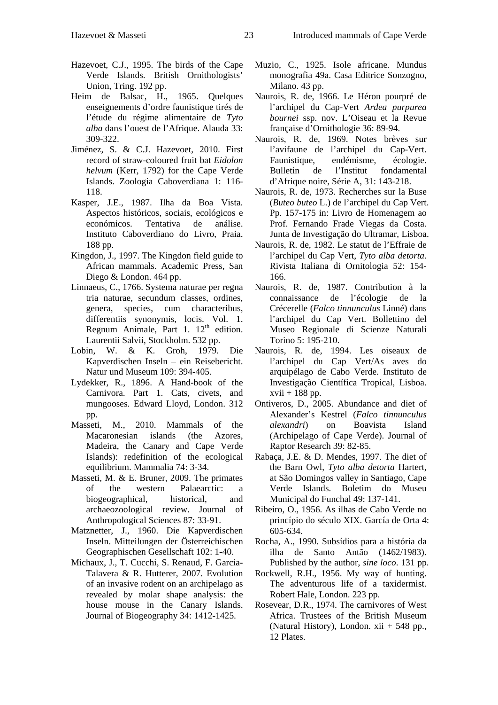- Hazevoet, C.J., 1995. The birds of the Cape Verde Islands. British Ornithologists' Union, Tring. 192 pp.
- Heim de Balsac, H., 1965. Quelques enseignements d'ordre faunistique tirés de l'étude du régime alimentaire de *Tyto alba* dans l'ouest de l'Afrique. Alauda 33: 309-322.
- Jiménez, S. & C.J. Hazevoet, 2010. First record of straw-coloured fruit bat *Eidolon helvum* (Kerr, 1792) for the Cape Verde Islands. Zoologia Caboverdiana 1: 116- 118.
- Kasper, J.E., 1987. Ilha da Boa Vista. Aspectos históricos, sociais, ecológicos e económicos. Tentativa de análise. Instituto Caboverdiano do Livro, Praia. 188 pp.
- Kingdon, J., 1997. The Kingdon field guide to African mammals. Academic Press, San Diego & London. 464 pp.
- Linnaeus, C., 1766. Systema naturae per regna tria naturae, secundum classes, ordines, genera, species, cum characteribus, differentiis synonymis, locis. Vol. 1. Regnum Animale, Part 1.  $12<sup>th</sup>$  edition. Laurentii Salvii, Stockholm. 532 pp.
- Lobin, W. & K. Groh, 1979. Die Kapverdischen Inseln – ein Reisebericht. Natur und Museum 109: 394-405.
- Lydekker, R., 1896. A Hand-book of the Carnivora. Part 1. Cats, civets, and mungooses. Edward Lloyd, London. 312 pp.
- Masseti, M., 2010. Mammals of the Macaronesian islands (the Azores, Madeira, the Canary and Cape Verde Islands): redefinition of the ecological equilibrium. Mammalia 74: 3-34.
- Masseti, M. & E. Bruner, 2009. The primates of the western Palaearctic: a biogeographical, historical, and archaeozoological review. Journal of Anthropological Sciences 87: 33-91.
- Matznetter, J., 1960. Die Kapverdischen Inseln. Mitteilungen der Österreichischen Geographischen Gesellschaft 102: 1-40.
- Michaux, J., T. Cucchi, S. Renaud, F. Garcia-Talavera & R. Hutterer, 2007. Evolution of an invasive rodent on an archipelago as revealed by molar shape analysis: the house mouse in the Canary Islands. Journal of Biogeography 34: 1412-1425.
- Muzio, C., 1925. Isole africane. Mundus monografia 49a. Casa Editrice Sonzogno, Milano. 43 pp.
- Naurois, R. de, 1966. Le Héron pourpré de l'archipel du Cap-Vert *Ardea purpurea bournei* ssp. nov. L'Oiseau et la Revue française d'Ornithologie 36: 89-94.
- Naurois, R. de, 1969. Notes brèves sur l'avifaune de l'archipel du Cap-Vert. Faunistique, endémisme, écologie. Bulletin de l'Institut fondamental d'Afrique noire, Série A, 31: 143-218.
- Naurois, R. de, 1973. Recherches sur la Buse (*Buteo buteo* L.) de l'archipel du Cap Vert. Pp. 157-175 in: Livro de Homenagem ao Prof. Fernando Frade Viegas da Costa. Junta de Investigação do Ultramar, Lisboa.
- Naurois, R. de, 1982. Le statut de l'Effraie de l'archipel du Cap Vert, *Tyto alba detorta*. Rivista Italiana di Ornitologia 52: 154- 166.
- Naurois, R. de, 1987. Contribution à la connaissance de l'écologie de la Crécerelle (*Falco tinnunculus* Linné) dans l'archipel du Cap Vert. Bollettino del Museo Regionale di Scienze Naturali Torino 5: 195-210.
- Naurois, R. de, 1994. Les oiseaux de l'archipel du Cap Vert/As aves do arquipélago de Cabo Verde. Instituto de Investigação Científica Tropical, Lisboa.  $xvii + 188$  pp.
- Ontiveros, D., 2005. Abundance and diet of Alexander's Kestrel (*Falco tinnunculus alexandri*) on Boavista Island (Archipelago of Cape Verde). Journal of Raptor Research 39: 82-85.
- Rabaça, J.E. & D. Mendes, 1997. The diet of the Barn Owl, *Tyto alba detorta* Hartert, at São Domingos valley in Santiago, Cape Verde Islands. Boletim do Museu Municipal do Funchal 49: 137-141.
- Ribeiro, O., 1956. As ilhas de Cabo Verde no princípio do século XIX. García de Orta 4: 605-634.
- Rocha, A., 1990. Subsídios para a história da ilha de Santo Antão (1462/1983). Published by the author, *sine loco*. 131 pp.
- Rockwell, R.H., 1956. My way of hunting. The adventurous life of a taxidermist. Robert Hale, London. 223 pp.
- Rosevear, D.R., 1974. The carnivores of West Africa. Trustees of the British Museum (Natural History), London. xii + 548 pp., 12 Plates.